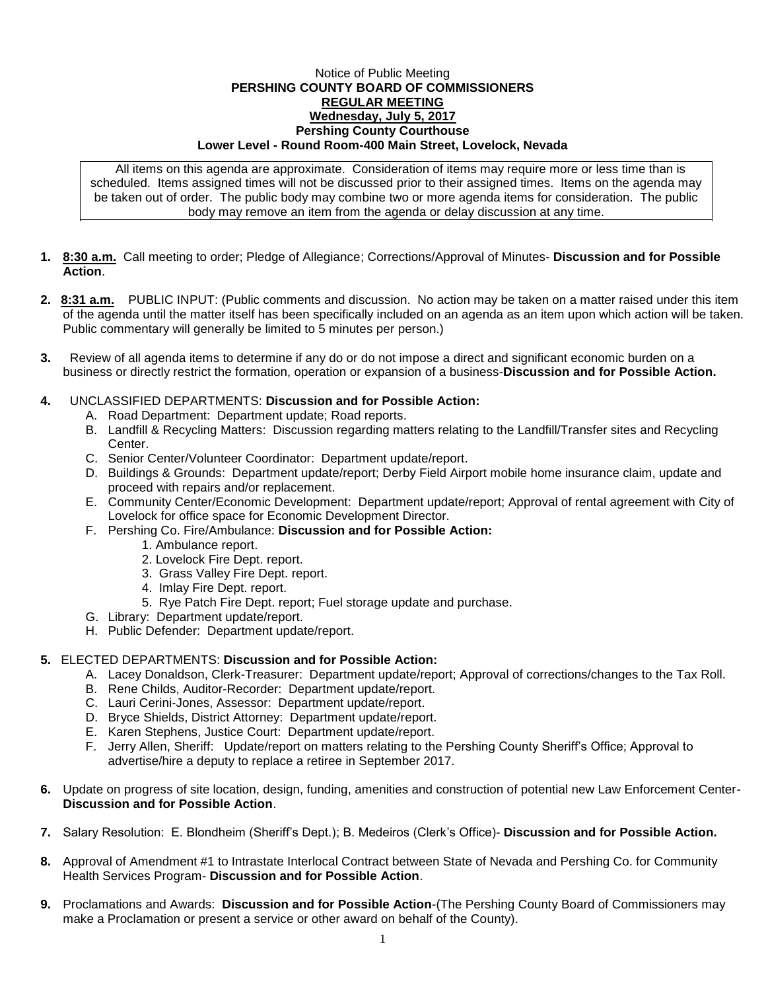## Notice of Public Meeting **PERSHING COUNTY BOARD OF COMMISSIONERS REGULAR MEETING Wednesday, July 5, 2017 Pershing County Courthouse Lower Level - Round Room-400 Main Street, Lovelock, Nevada**

All items on this agenda are approximate. Consideration of items may require more or less time than is scheduled. Items assigned times will not be discussed prior to their assigned times. Items on the agenda may be taken out of order. The public body may combine two or more agenda items for consideration. The public body may remove an item from the agenda or delay discussion at any time.

- **1. 8:30 a.m.** Call meeting to order; Pledge of Allegiance; Corrections/Approval of Minutes- **Discussion and for Possible Action**.
- **2. 8:31 a.m.** PUBLIC INPUT: (Public comments and discussion. No action may be taken on a matter raised under this item of the agenda until the matter itself has been specifically included on an agenda as an item upon which action will be taken. Public commentary will generally be limited to 5 minutes per person.)
- **3.** Review of all agenda items to determine if any do or do not impose a direct and significant economic burden on a business or directly restrict the formation, operation or expansion of a business-**Discussion and for Possible Action.**

## **4.** UNCLASSIFIED DEPARTMENTS: **Discussion and for Possible Action:**

- A. Road Department: Department update; Road reports.
- B. Landfill & Recycling Matters: Discussion regarding matters relating to the Landfill/Transfer sites and Recycling Center.
- C. Senior Center/Volunteer Coordinator: Department update/report.
- D. Buildings & Grounds: Department update/report; Derby Field Airport mobile home insurance claim, update and proceed with repairs and/or replacement.
- E. Community Center/Economic Development: Department update/report; Approval of rental agreement with City of Lovelock for office space for Economic Development Director.
- F. Pershing Co. Fire/Ambulance: **Discussion and for Possible Action:**
	- 1. Ambulance report.
	- 2. Lovelock Fire Dept. report.
	- 3. Grass Valley Fire Dept. report.
	- 4. Imlay Fire Dept. report.
	- 5. Rye Patch Fire Dept. report; Fuel storage update and purchase.
- G. Library: Department update/report.
- H. Public Defender: Department update/report.

## **5.** ELECTED DEPARTMENTS: **Discussion and for Possible Action:**

- A. Lacey Donaldson, Clerk-Treasurer: Department update/report; Approval of corrections/changes to the Tax Roll.
- B. Rene Childs, Auditor-Recorder: Department update/report.
- C. Lauri Cerini-Jones, Assessor: Department update/report.
- D. Bryce Shields, District Attorney: Department update/report.
- E. Karen Stephens, Justice Court: Department update/report.
- F. Jerry Allen, Sheriff: Update/report on matters relating to the Pershing County Sheriff's Office; Approval to advertise/hire a deputy to replace a retiree in September 2017.
- **6.** Update on progress of site location, design, funding, amenities and construction of potential new Law Enforcement Center-**Discussion and for Possible Action**.
- **7.** Salary Resolution: E. Blondheim (Sheriff's Dept.); B. Medeiros (Clerk's Office)- **Discussion and for Possible Action.**
- **8.** Approval of Amendment #1 to Intrastate Interlocal Contract between State of Nevada and Pershing Co. for Community Health Services Program- **Discussion and for Possible Action**.
- **9.** Proclamations and Awards: **Discussion and for Possible Action**-(The Pershing County Board of Commissioners may make a Proclamation or present a service or other award on behalf of the County).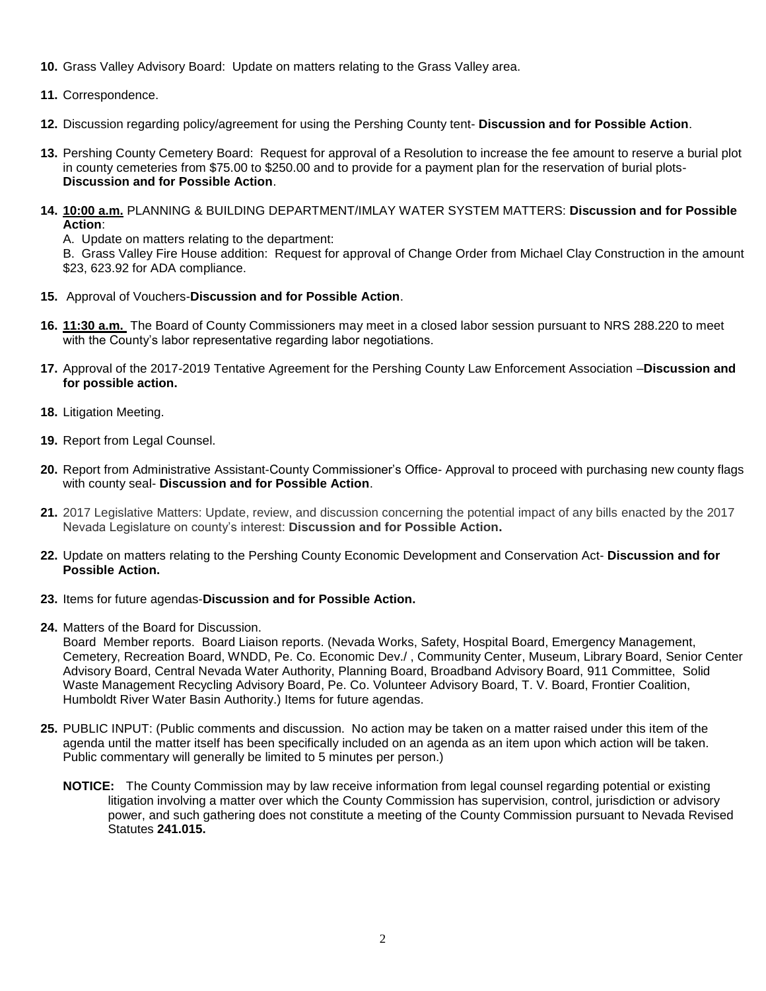- **10.** Grass Valley Advisory Board: Update on matters relating to the Grass Valley area.
- **11.** Correspondence.
- **12.** Discussion regarding policy/agreement for using the Pershing County tent- **Discussion and for Possible Action**.
- **13.** Pershing County Cemetery Board: Request for approval of a Resolution to increase the fee amount to reserve a burial plot in county cemeteries from \$75.00 to \$250.00 and to provide for a payment plan for the reservation of burial plots-**Discussion and for Possible Action**.
- **14. 10:00 a.m.** PLANNING & BUILDING DEPARTMENT/IMLAY WATER SYSTEM MATTERS: **Discussion and for Possible Action**:

A. Update on matters relating to the department:

B. Grass Valley Fire House addition: Request for approval of Change Order from Michael Clay Construction in the amount \$23, 623.92 for ADA compliance.

- **15.** Approval of Vouchers-**Discussion and for Possible Action**.
- **16. 11:30 a.m.** The Board of County Commissioners may meet in a closed labor session pursuant to NRS 288.220 to meet with the County's labor representative regarding labor negotiations.
- **17.** Approval of the 2017-2019 Tentative Agreement for the Pershing County Law Enforcement Association –**Discussion and for possible action.**
- **18.** Litigation Meeting.
- **19.** Report from Legal Counsel.
- **20.** Report from Administrative Assistant-County Commissioner's Office- Approval to proceed with purchasing new county flags with county seal- **Discussion and for Possible Action**.
- **21.** 2017 Legislative Matters: Update, review, and discussion concerning the potential impact of any bills enacted by the 2017 Nevada Legislature on county's interest: **Discussion and for Possible Action.**
- **22.** Update on matters relating to the Pershing County Economic Development and Conservation Act- **Discussion and for Possible Action.**
- **23.** Items for future agendas-**Discussion and for Possible Action.**
- **24.** Matters of the Board for Discussion.

Board Member reports. Board Liaison reports. (Nevada Works, Safety, Hospital Board, Emergency Management, Cemetery, Recreation Board, WNDD, Pe. Co. Economic Dev./ , Community Center, Museum, Library Board, Senior Center Advisory Board, Central Nevada Water Authority, Planning Board, Broadband Advisory Board, 911 Committee, Solid Waste Management Recycling Advisory Board, Pe. Co. Volunteer Advisory Board, T. V. Board, Frontier Coalition, Humboldt River Water Basin Authority.) Items for future agendas.

- **25.** PUBLIC INPUT: (Public comments and discussion. No action may be taken on a matter raised under this item of the agenda until the matter itself has been specifically included on an agenda as an item upon which action will be taken. Public commentary will generally be limited to 5 minutes per person.)
	- **NOTICE:** The County Commission may by law receive information from legal counsel regarding potential or existing litigation involving a matter over which the County Commission has supervision, control, jurisdiction or advisory power, and such gathering does not constitute a meeting of the County Commission pursuant to Nevada Revised Statutes **241.015.**